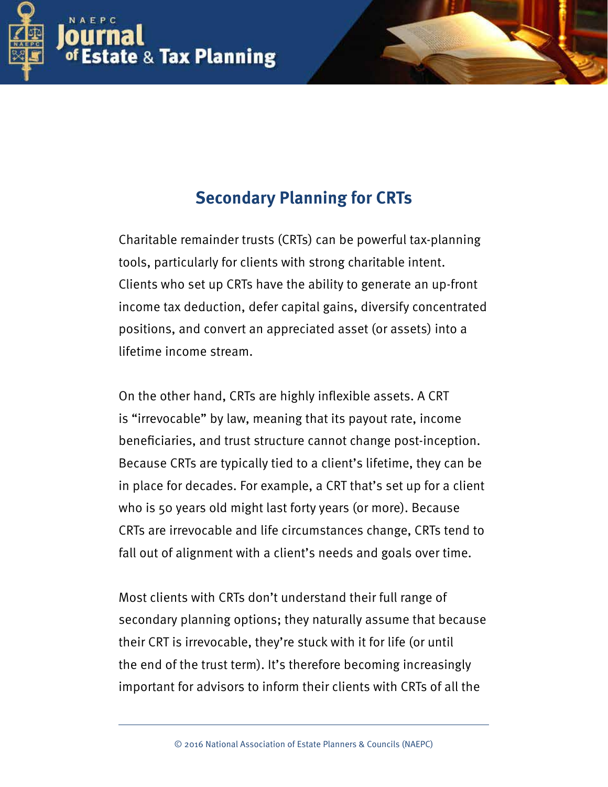

# **Secondary Planning for CRTs**

Secondary Planning for CRTs | **1**

Charitable remainder trusts (CRTs) can be powerful tax-planning tools, particularly for clients with strong charitable intent. Clients who set up CRTs have the ability to generate an up-front income tax deduction, defer capital gains, diversify concentrated positions, and convert an appreciated asset (or assets) into a lifetime income stream.

On the other hand, CRTs are highly infexible assets. A CRT is "irrevocable" by law, meaning that its payout rate, income benefciaries, and trust structure cannot change post-inception. Because CRTs are typically tied to a client's lifetime, they can be in place for decades. For example, a CRT that's set up for a client who is 50 years old might last forty years (or more). Because CRTs are irrevocable and life circumstances change, CRTs tend to fall out of alignment with a client's needs and goals over time.

Most clients with CRTs don't understand their full range of secondary planning options; they naturally assume that because their CRT is irrevocable, they're stuck with it for life (or until the end of the trust term). It's therefore becoming increasingly important for advisors to inform their clients with CRTs of all the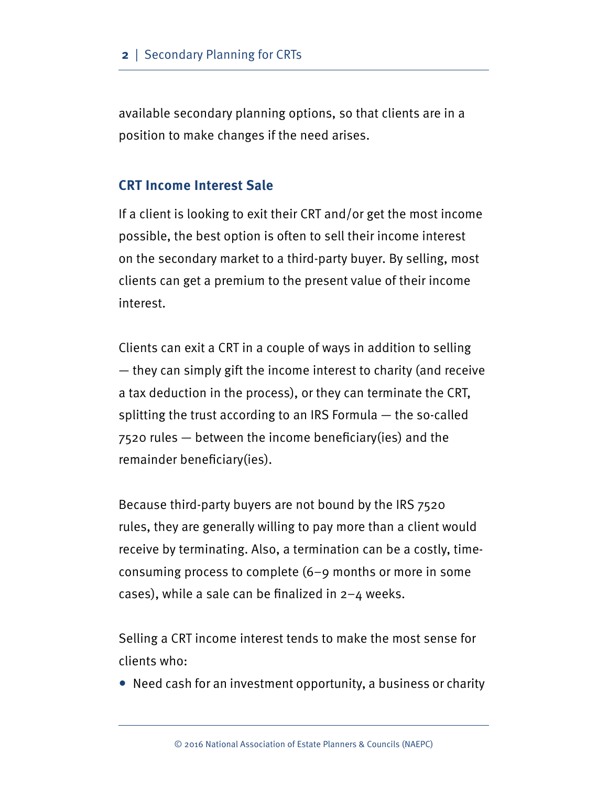available secondary planning options, so that clients are in a position to make changes if the need arises.

#### **CRT Income Interest Sale**

If a client is looking to exit their CRT and/or get the most income possible, the best option is often to sell their income interest on the secondary market to a third-party buyer. By selling, most clients can get a premium to the present value of their income interest.

Clients can exit a CRT in a couple of ways in addition to selling — they can simply gift the income interest to charity (and receive a tax deduction in the process), or they can terminate the CRT, splitting the trust according to an IRS Formula — the so-called 7520 rules — between the income benefciary(ies) and the remainder beneficiary(ies).

Because third-party buyers are not bound by the IRS 7520 rules, they are generally willing to pay more than a client would receive by terminating. Also, a termination can be a costly, timeconsuming process to complete (6–9 months or more in some cases), while a sale can be finalized in  $2-4$  weeks.

Selling a CRT income interest tends to make the most sense for clients who:

• Need cash for an investment opportunity, a business or charity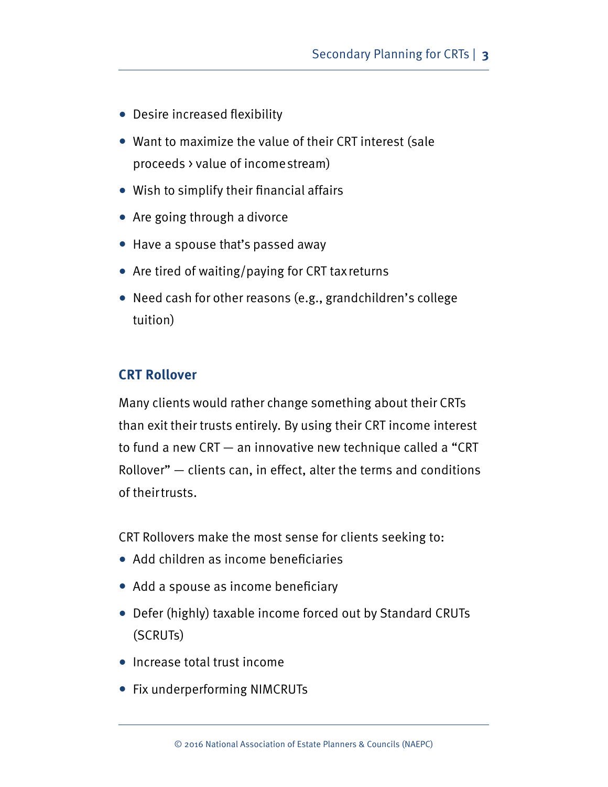- Desire increased flexibility
- Want to maximize the value of their CRT interest (sale proceeds > value of income stream)
- Wish to simplify their fnancial affairs
- Are going through a divorce
- Have a spouse that's passed away
- Are tired of waiting/paying for CRT tax returns
- Need cash for other reasons (e.g., grandchildren's college tuition)

### **CRT Rollover**

Many clients would rather change something about their CRTs than exit their trusts entirely. By using their CRT income interest to fund a new CRT — an innovative new technique called a "CRT Rollover" — clients can, in effect, alter the terms and conditions of their trusts.

CRT Rollovers make the most sense for clients seeking to:

- Add children as income beneficiaries
- Add a spouse as income beneficiary
- Defer (highly) taxable income forced out by Standard CRUTs (SCRUTs)
- Increase total trust income
- Fix underperforming NIMCRUTs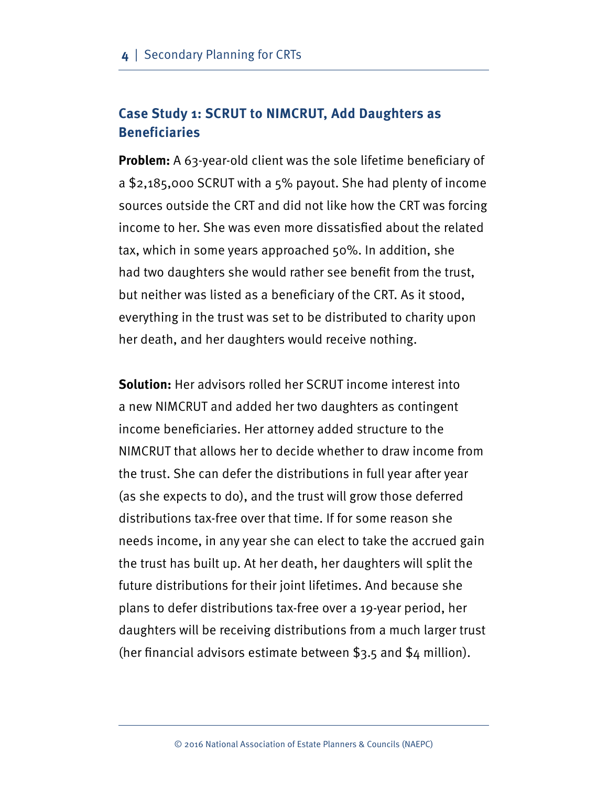## **Case Study 1: SCRUT to NIMCRUT, Add Daughters as Beneficiaries**

**Problem:** A 63-year-old client was the sole lifetime beneficiary of a \$2,185,000 SCRUT with a 5% payout. She had plenty of income sources outside the CRT and did not like how the CRT was forcing income to her. She was even more dissatisfed about the related tax, which in some years approached 50%. In addition, she had two daughters she would rather see beneft from the trust, but neither was listed as a benefciary of the CRT. As it stood, everything in the trust was set to be distributed to charity upon her death, and her daughters would receive nothing.

**Solution:** Her advisors rolled her SCRUT income interest into a new NIMCRUT and added her two daughters as contingent income beneficiaries. Her attorney added structure to the NIMCRUT that allows her to decide whether to draw income from the trust. She can defer the distributions in full year after year (as she expects to do), and the trust will grow those deferred distributions tax-free over that time. If for some reason she needs income, in any year she can elect to take the accrued gain the trust has built up. At her death, her daughters will split the future distributions for their joint lifetimes. And because she plans to defer distributions tax-free over a 19-year period, her daughters will be receiving distributions from a much larger trust (her fnancial advisors estimate between \$3.5 and \$4 million).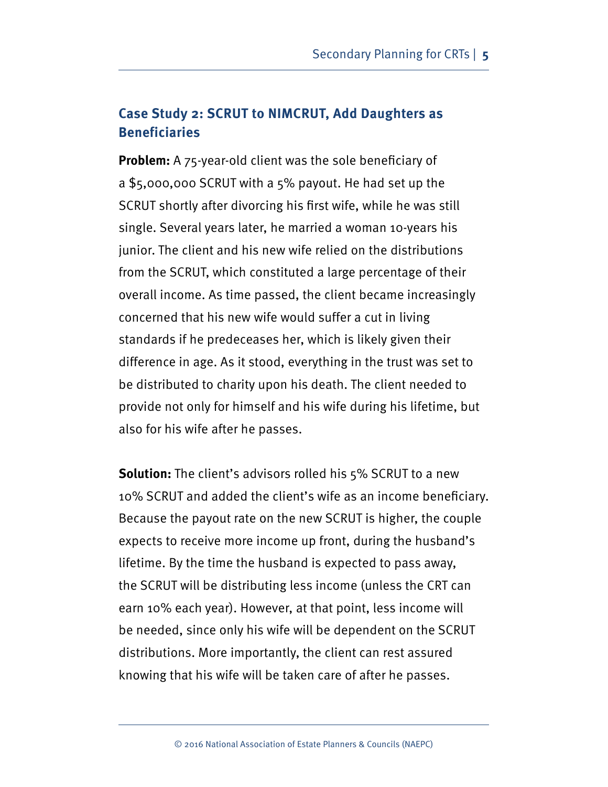## **Case Study 2: SCRUT to NIMCRUT, Add Daughters as Beneficiaries**

**Problem:** A 75-year-old client was the sole beneficiary of a \$5,000,000 SCRUT with a 5% payout. He had set up the SCRUT shortly after divorcing his frst wife, while he was still single. Several years later, he married a woman 10-years his junior. The client and his new wife relied on the distributions from the SCRUT, which constituted a large percentage of their overall income. As time passed, the client became increasingly concerned that his new wife would suffer a cut in living standards if he predeceases her, which is likely given their difference in age. As it stood, everything in the trust was set to be distributed to charity upon his death. The client needed to provide not only for himself and his wife during his lifetime, but also for his wife after he passes.

**Solution:** The client's advisors rolled his 5% SCRUT to a new 10% SCRUT and added the client's wife as an income benefciary. Because the payout rate on the new SCRUT is higher, the couple expects to receive more income up front, during the husband's lifetime. By the time the husband is expected to pass away, the SCRUT will be distributing less income (unless the CRT can earn 10% each year). However, at that point, less income will be needed, since only his wife will be dependent on the SCRUT distributions. More importantly, the client can rest assured knowing that his wife will be taken care of after he passes.